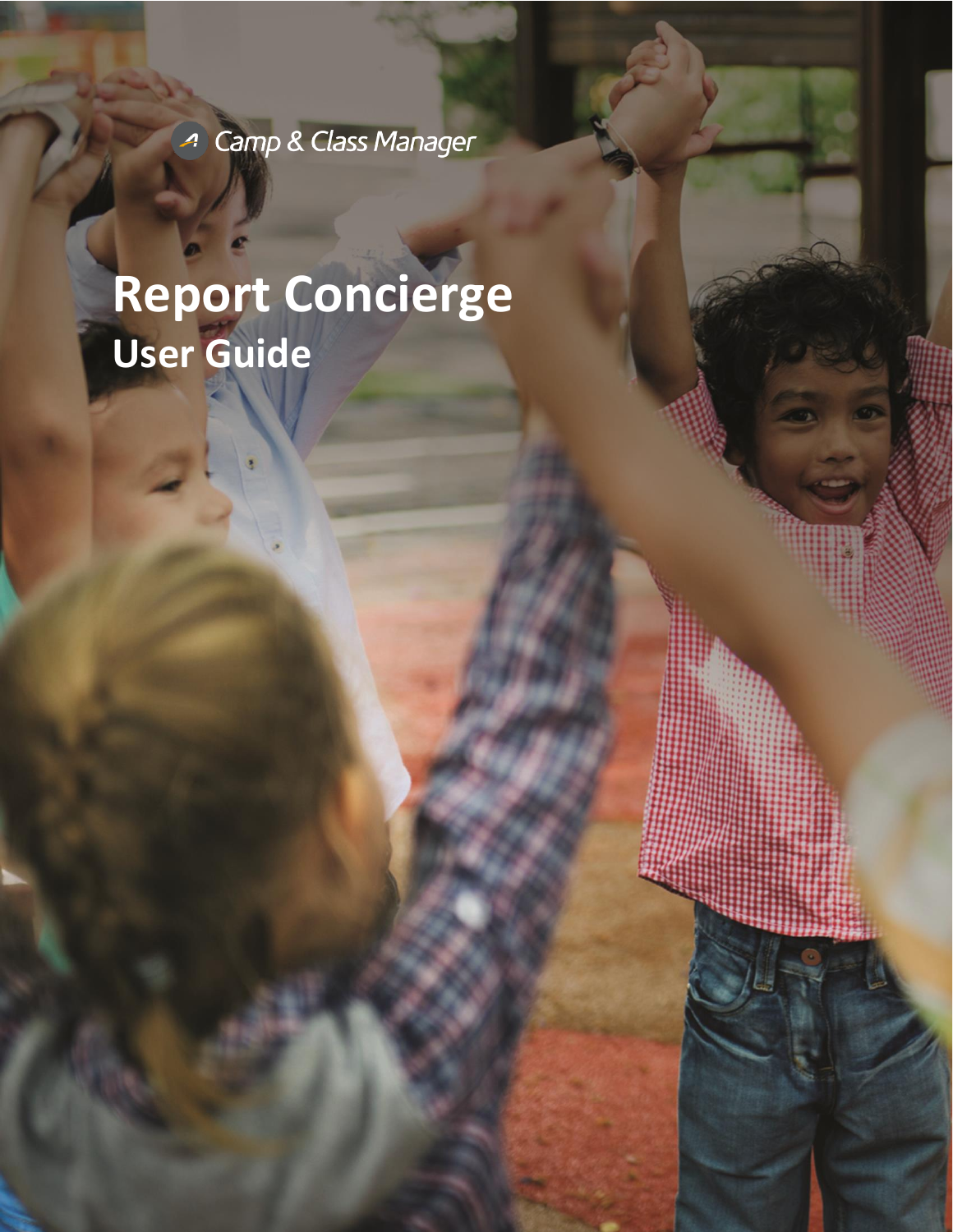<sup>4</sup> Camp & Class Manager

# **Report Concierge User Guide**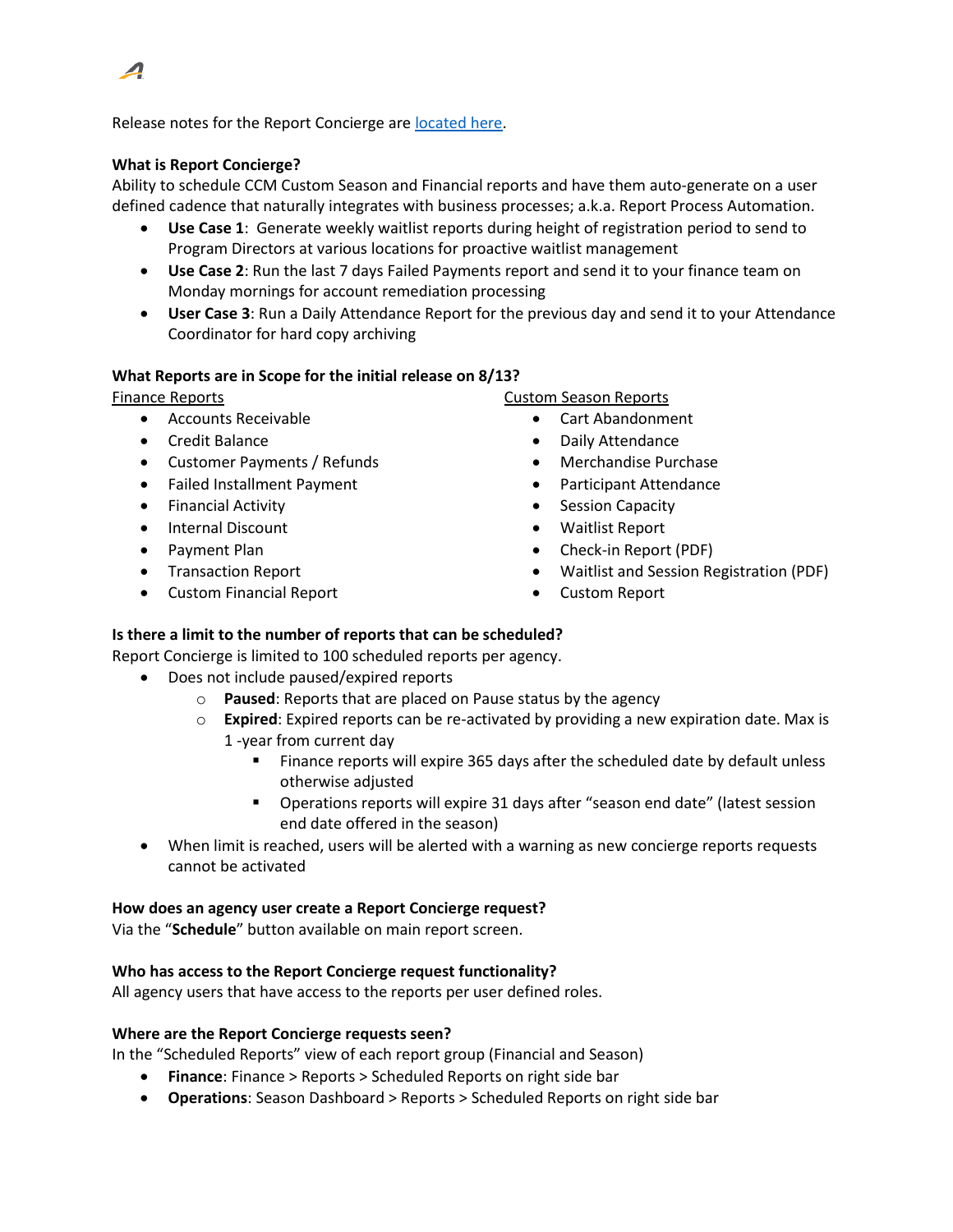

Release notes for the Report Concierge ar[e located here.](https://support.activenetwork.com/camps/articles/en_US/Release_Note/Release-Notes-9-10-Report-Concierge)

## **What is Report Concierge?**

Ability to schedule CCM Custom Season and Financial reports and have them auto-generate on a user defined cadence that naturally integrates with business processes; a.k.a. Report Process Automation.

- **Use Case 1**: Generate weekly waitlist reports during height of registration period to send to Program Directors at various locations for proactive waitlist management
- **Use Case 2**: Run the last 7 days Failed Payments report and send it to your finance team on Monday mornings for account remediation processing
- **User Case 3**: Run a Daily Attendance Report for the previous day and send it to your Attendance Coordinator for hard copy archiving

## **What Reports are in Scope for the initial release on 8/13?**

Finance Reports

- Accounts Receivable
- Credit Balance
- Customer Payments / Refunds
- Failed Installment Payment
- Financial Activity
- Internal Discount
- Payment Plan
- Transaction Report
- Custom Financial Report

Custom Season Reports

- Cart Abandonment
- Daily Attendance
- Merchandise Purchase
- Participant Attendance
- Session Capacity
- Waitlist Report
- Check-in Report (PDF)
- Waitlist and Session Registration (PDF)
- Custom Report

# **Is there a limit to the number of reports that can be scheduled?**

Report Concierge is limited to 100 scheduled reports per agency.

- Does not include paused/expired reports
	- o **Paused**: Reports that are placed on Pause status by the agency
	- o **Expired**: Expired reports can be re-activated by providing a new expiration date. Max is 1 -year from current day
		- Finance reports will expire 365 days after the scheduled date by default unless otherwise adjusted
		- Operations reports will expire 31 days after "season end date" (latest session end date offered in the season)
- When limit is reached, users will be alerted with a warning as new concierge reports requests cannot be activated

#### **How does an agency user create a Report Concierge request?**

Via the "**Schedule**" button available on main report screen.

#### **Who has access to the Report Concierge request functionality?**

All agency users that have access to the reports per user defined roles.

#### **Where are the Report Concierge requests seen?**

In the "Scheduled Reports" view of each report group (Financial and Season)

- **Finance**: Finance > Reports > Scheduled Reports on right side bar
- **Operations**: Season Dashboard > Reports > Scheduled Reports on right side bar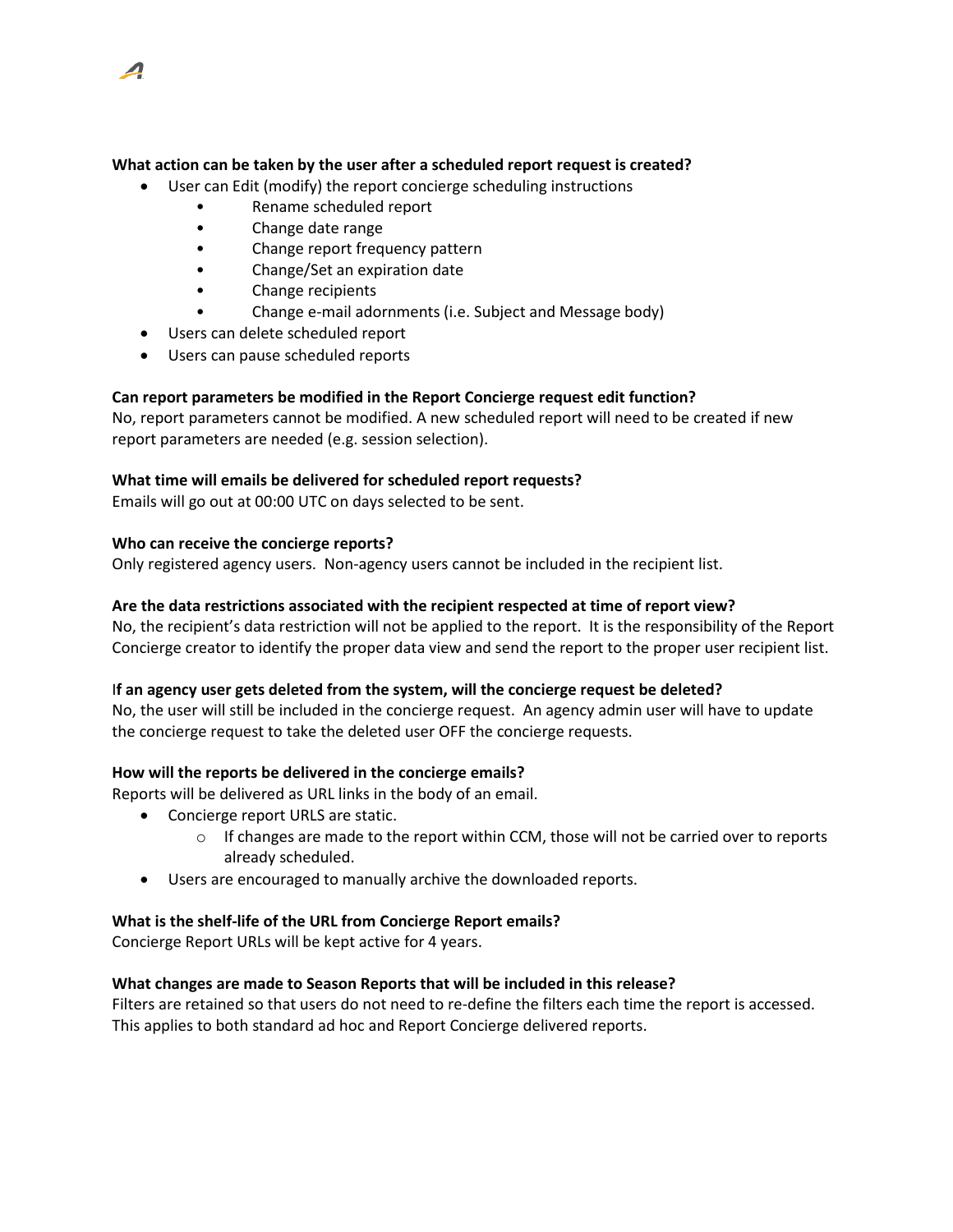

- User can Edit (modify) the report concierge scheduling instructions
	- Rename scheduled report
	- Change date range
	- Change report frequency pattern
	- Change/Set an expiration date
	- Change recipients
	- Change e-mail adornments (i.e. Subject and Message body)
- Users can delete scheduled report
- Users can pause scheduled reports

# **Can report parameters be modified in the Report Concierge request edit function?**

No, report parameters cannot be modified. A new scheduled report will need to be created if new report parameters are needed (e.g. session selection).

## **What time will emails be delivered for scheduled report requests?**

Emails will go out at 00:00 UTC on days selected to be sent.

## **Who can receive the concierge reports?**

Only registered agency users. Non-agency users cannot be included in the recipient list.

## **Are the data restrictions associated with the recipient respected at time of report view?**

No, the recipient's data restriction will not be applied to the report. It is the responsibility of the Report Concierge creator to identify the proper data view and send the report to the proper user recipient list.

# I**f an agency user gets deleted from the system, will the concierge request be deleted?**

No, the user will still be included in the concierge request. An agency admin user will have to update the concierge request to take the deleted user OFF the concierge requests.

# **How will the reports be delivered in the concierge emails?**

Reports will be delivered as URL links in the body of an email.

- Concierge report URLS are static.
	- $\circ$  If changes are made to the report within CCM, those will not be carried over to reports already scheduled.
- Users are encouraged to manually archive the downloaded reports.

#### **What is the shelf-life of the URL from Concierge Report emails?**

Concierge Report URLs will be kept active for 4 years.

# **What changes are made to Season Reports that will be included in this release?**

Filters are retained so that users do not need to re-define the filters each time the report is accessed. This applies to both standard ad hoc and Report Concierge delivered reports.